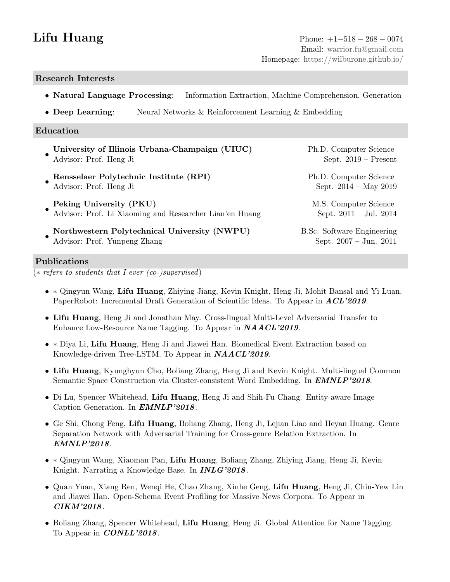# Research Interests

- Natural Language Processing: Information Extraction, Machine Comprehension, Generation
- **Deep Learning:** Neural Networks & Reinforcement Learning & Embedding

### Education

• University of Illinois Urbana-Champaign (UIUC) Ph.D. Computer Science Advisor: Prof. Heng Ji Sept. 2019 – Present • Rensselaer Polytechnic Institute (RPI) Ph.D. Computer Science Advisor: Prof. Heng Ji Sept. 2014 – May 2019 • Peking University (PKU) and the settlement of the M.S. Computer Science Advisor: Prof. Li Xiaoming and Researcher Lian'en Huang Sept. 2011 – Jul. 2014 • Northwestern Polytechnical University (NWPU) B.Sc. Software Engineering Advisor: Prof. Yunpeng Zhang Sept. 2007 – Jun. 2011

## Publications

 $\overline{(*)}$  refers to students that I ever (co-)supervised)

- ∗ Qingyun Wang, Lifu Huang, Zhiying Jiang, Kevin Knight, Heng Ji, Mohit Bansal and Yi Luan. PaperRobot: Incremental Draft Generation of Scientific Ideas. To Appear in **ACL'2019**.
- Lifu Huang, Heng Ji and Jonathan May. Cross-lingual Multi-Level Adversarial Transfer to Enhance Low-Resource Name Tagging. To Appear in **NAACL'2019**.
- ∗ Diya Li, Lifu Huang, Heng Ji and Jiawei Han. Biomedical Event Extraction based on Knowledge-driven Tree-LSTM. To Appear in NAACL'2019.
- Lifu Huang, Kyunghyun Cho, Boliang Zhang, Heng Ji and Kevin Knight. Multi-lingual Common Semantic Space Construction via Cluster-consistent Word Embedding. In **EMNLP'2018**.
- Di Lu, Spencer Whitehead, Lifu Huang, Heng Ji and Shih-Fu Chang. Entity-aware Image Caption Generation. In **EMNLP'2018**.
- Ge Shi, Chong Feng, Lifu Huang, Boliang Zhang, Heng Ji, Lejian Liao and Heyan Huang. Genre Separation Network with Adversarial Training for Cross-genre Relation Extraction. In EMNLP'2018.
- ∗ Qingyun Wang, Xiaoman Pan, Lifu Huang, Boliang Zhang, Zhiying Jiang, Heng Ji, Kevin Knight. Narrating a Knowledge Base. In **INLG'2018**.
- Quan Yuan, Xiang Ren, Wenqi He, Chao Zhang, Xinhe Geng, Lifu Huang, Heng Ji, Chin-Yew Lin and Jiawei Han. Open-Schema Event Profiling for Massive News Corpora. To Appear in CIKM'2018.
- Boliang Zhang, Spencer Whitehead, Lifu Huang, Heng Ji. Global Attention for Name Tagging. To Appear in **CONLL'2018**.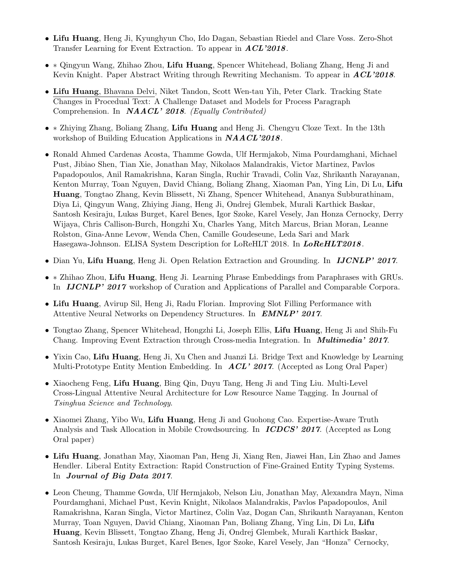- Lifu Huang, Heng Ji, Kyunghyun Cho, Ido Dagan, Sebastian Riedel and Clare Voss. Zero-Shot Transfer Learning for Event Extraction. To appear in  $ACL'2018$ .
- ∗ Qingyun Wang, Zhihao Zhou, Lifu Huang, Spencer Whitehead, Boliang Zhang, Heng Ji and Kevin Knight. Paper Abstract Writing through Rewriting Mechanism. To appear in  $ACL'2018$ .
- Lifu Huang, Bhavana Delvi, Niket Tandon, Scott Wen-tau Yih, Peter Clark. Tracking State Changes in Procedual Text: A Challenge Dataset and Models for Process Paragraph Comprehension. In **NAACL' 2018**. (Equally Contributed)
- ∗ Zhiying Zhang, Boliang Zhang, Lifu Huang and Heng Ji. Chengyu Cloze Text. In the 13th workshop of Building Education Applications in **NAACL'2018**.
- Ronald Ahmed Cardenas Acosta, Thamme Gowda, Ulf Hermjakob, Nima Pourdamghani, Michael Pust, Jibiao Shen, Tian Xie, Jonathan May, Nikolaos Malandrakis, Victor Martinez, Pavlos Papadopoulos, Anil Ramakrishna, Karan Singla, Ruchir Travadi, Colin Vaz, Shrikanth Narayanan, Kenton Murray, Toan Nguyen, David Chiang, Boliang Zhang, Xiaoman Pan, Ying Lin, Di Lu, Lifu Huang, Tongtao Zhang, Kevin Blissett, Ni Zhang, Spencer Whitehead, Ananya Subburathinam, Diya Li, Qingyun Wang, Zhiying Jiang, Heng Ji, Ondrej Glembek, Murali Karthick Baskar, Santosh Kesiraju, Lukas Burget, Karel Benes, Igor Szoke, Karel Vesely, Jan Honza Cernocky, Derry Wijaya, Chris Callison-Burch, Hongzhi Xu, Charles Yang, Mitch Marcus, Brian Moran, Leanne Rolston, Gina-Anne Levow, Wenda Chen, Camille Goudeseune, Leda Sari and Mark Hasegawa-Johnson. ELISA System Description for LoReHLT 2018. In LoReHLT2018.
- Dian Yu, Lifu Huang, Heng Ji. Open Relation Extraction and Grounding. In IJCNLP' 2017.
- ∗ Zhihao Zhou, Lifu Huang, Heng Ji. Learning Phrase Embeddings from Paraphrases with GRUs. In **IJCNLP' 2017** workshop of Curation and Applications of Parallel and Comparable Corpora.
- Lifu Huang, Avirup Sil, Heng Ji, Radu Florian. Improving Slot Filling Performance with Attentive Neural Networks on Dependency Structures. In EMNLP' 2017.
- Tongtao Zhang, Spencer Whitehead, Hongzhi Li, Joseph Ellis, Lifu Huang, Heng Ji and Shih-Fu Chang. Improving Event Extraction through Cross-media Integration. In Multimedia' 2017.
- Yixin Cao, Lifu Huang, Heng Ji, Xu Chen and Juanzi Li. Bridge Text and Knowledge by Learning Multi-Prototype Entity Mention Embedding. In **ACL' 2017.** (Accepted as Long Oral Paper)
- Xiaocheng Feng, Lifu Huang, Bing Qin, Duyu Tang, Heng Ji and Ting Liu. Multi-Level Cross-Lingual Attentive Neural Architecture for Low Resource Name Tagging. In Journal of Tsinghua Science and Technology.
- Xiaomei Zhang, Yibo Wu, Lifu Huang, Heng Ji and Guohong Cao. Expertise-Aware Truth Analysis and Task Allocation in Mobile Crowdsourcing. In **ICDCS' 2017.** (Accepted as Long Oral paper)
- Lifu Huang, Jonathan May, Xiaoman Pan, Heng Ji, Xiang Ren, Jiawei Han, Lin Zhao and James Hendler. Liberal Entity Extraction: Rapid Construction of Fine-Grained Entity Typing Systems. In Journal of Big Data 2017.
- Leon Cheung, Thamme Gowda, Ulf Hermjakob, Nelson Liu, Jonathan May, Alexandra Mayn, Nima Pourdamghani, Michael Pust, Kevin Knight, Nikolaos Malandrakis, Pavlos Papadopoulos, Anil Ramakrishna, Karan Singla, Victor Martinez, Colin Vaz, Dogan Can, Shrikanth Narayanan, Kenton Murray, Toan Nguyen, David Chiang, Xiaoman Pan, Boliang Zhang, Ying Lin, Di Lu, Lifu Huang, Kevin Blissett, Tongtao Zhang, Heng Ji, Ondrej Glembek, Murali Karthick Baskar, Santosh Kesiraju, Lukas Burget, Karel Benes, Igor Szoke, Karel Vesely, Jan "Honza" Cernocky,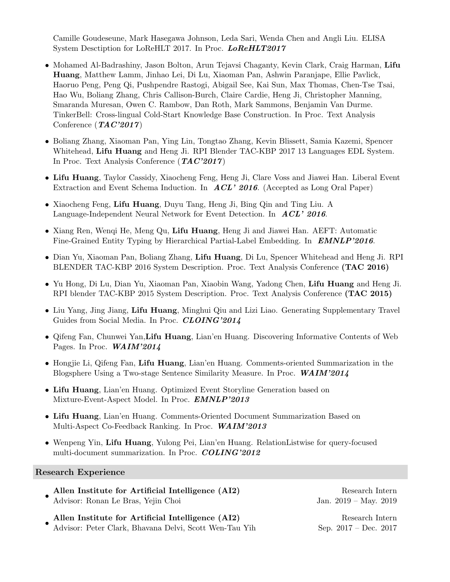Camille Goudeseune, Mark Hasegawa Johnson, Leda Sari, Wenda Chen and Angli Liu. ELISA System Desctiption for LoReHLT 2017. In Proc. LoReHLT2017

- Mohamed Al-Badrashiny, Jason Bolton, Arun Tejavsi Chaganty, Kevin Clark, Craig Harman, Lifu Huang, Matthew Lamm, Jinhao Lei, Di Lu, Xiaoman Pan, Ashwin Paranjape, Ellie Pavlick, Haoruo Peng, Peng Qi, Pushpendre Rastogi, Abigail See, Kai Sun, Max Thomas, Chen-Tse Tsai, Hao Wu, Boliang Zhang, Chris Callison-Burch, Claire Cardie, Heng Ji, Christopher Manning, Smaranda Muresan, Owen C. Rambow, Dan Roth, Mark Sammons, Benjamin Van Durme. TinkerBell: Cross-lingual Cold-Start Knowledge Base Construction. In Proc. Text Analysis Conference  $(TAC'2017)$
- Boliang Zhang, Xiaoman Pan, Ying Lin, Tongtao Zhang, Kevin Blissett, Samia Kazemi, Spencer Whitehead, Lifu Huang and Heng Ji. RPI Blender TAC-KBP 2017 13 Languages EDL System. In Proc. Text Analysis Conference  $(TAC'2017)$
- Lifu Huang, Taylor Cassidy, Xiaocheng Feng, Heng Ji, Clare Voss and Jiawei Han. Liberal Event Extraction and Event Schema Induction. In  $ACL'$  2016. (Accepted as Long Oral Paper)
- Xiaocheng Feng, Lifu Huang, Duyu Tang, Heng Ji, Bing Qin and Ting Liu. A Language-Independent Neural Network for Event Detection. In ACL' 2016.
- Xiang Ren, Wenqi He, Meng Qu, Lifu Huang, Heng Ji and Jiawei Han. AEFT: Automatic Fine-Grained Entity Typing by Hierarchical Partial-Label Embedding. In **EMNLP'2016**.
- Dian Yu, Xiaoman Pan, Boliang Zhang, Lifu Huang, Di Lu, Spencer Whitehead and Heng Ji. RPI BLENDER TAC-KBP 2016 System Description. Proc. Text Analysis Conference (TAC 2016)
- Yu Hong, Di Lu, Dian Yu, Xiaoman Pan, Xiaobin Wang, Yadong Chen, Lifu Huang and Heng Ji. RPI blender TAC-KBP 2015 System Description. Proc. Text Analysis Conference (TAC 2015)
- Liu Yang, Jing Jiang, Lifu Huang, Minghui Qiu and Lizi Liao. Generating Supplementary Travel Guides from Social Media. In Proc. CLOING'2014
- Qifeng Fan, Chunwei Yan,Lifu Huang, Lian'en Huang. Discovering Informative Contents of Web Pages. In Proc. WAIM'2014
- Hongjie Li, Qifeng Fan, Lifu Huang, Lian'en Huang. Comments-oriented Summarization in the Blogsphere Using a Two-stage Sentence Similarity Measure. In Proc. WAIM'2014
- Lifu Huang, Lian'en Huang. Optimized Event Storyline Generation based on Mixture-Event-Aspect Model. In Proc. EMNLP'2013
- Lifu Huang, Lian'en Huang. Comments-Oriented Document Summarization Based on Multi-Aspect Co-Feedback Ranking. In Proc. **WAIM'2013**
- Wenpeng Yin, Lifu Huang, Yulong Pei, Lian'en Huang. RelationListwise for query-focused multi-document summarization. In Proc. COLING'2012

#### Research Experience

• Allen Institute for Artificial Intelligence (AI2) Research Intern Advisor: Ronan Le Bras, Yejin Choi Jan. 2019 – May. 2019

• Allen Institute for Artificial Intelligence (AI2) Research Intern Advisor: Peter Clark, Bhavana Delvi, Scott Wen-Tau Yih Sep. 2017 – Dec. 2017